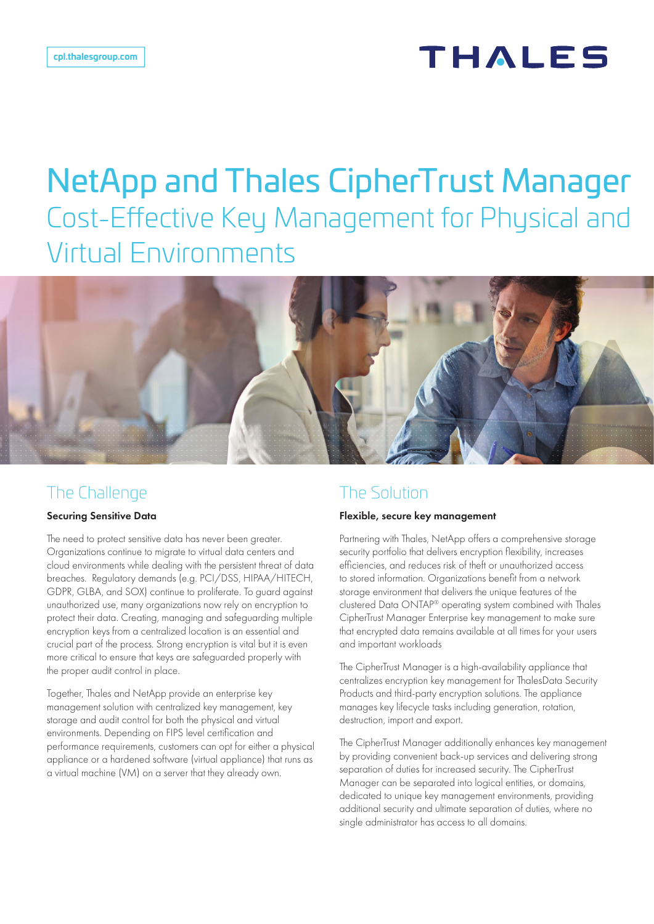# THALES

# NetApp and Thales CipherTrust Manager Cost-Effective Key Management for Physical and Virtual Environments



### The Challenge

#### Securing Sensitive Data

The need to protect sensitive data has never been greater. Organizations continue to migrate to virtual data centers and cloud environments while dealing with the persistent threat of data breaches. Regulatory demands (e.g. PCI/DSS, HIPAA/HITECH, GDPR, GLBA, and SOX) continue to proliferate. To guard against unauthorized use, many organizations now rely on encryption to protect their data. Creating, managing and safeguarding multiple encryption keys from a centralized location is an essential and crucial part of the process. Strong encryption is vital but it is even more critical to ensure that keys are safeguarded properly with the proper audit control in place.

Together, Thales and NetApp provide an enterprise key management solution with centralized key management, key storage and audit control for both the physical and virtual environments. Depending on FIPS level certification and performance requirements, customers can opt for either a physical appliance or a hardened software (virtual appliance) that runs as a virtual machine (VM) on a server that they already own.

### The Solution

#### Flexible, secure key management

Partnering with Thales, NetApp offers a comprehensive storage security portfolio that delivers encryption flexibility, increases efficiencies, and reduces risk of theft or unauthorized access to stored information. Organizations benefit from a network storage environment that delivers the unique features of the clustered Data ONTAP® operating system combined with Thales CipherTrust Manager Enterprise key management to make sure that encrypted data remains available at all times for your users and important workloads

The CipherTrust Manager is a high-availability appliance that centralizes encryption key management for ThalesData Security Products and third-party encryption solutions. The appliance manages key lifecycle tasks including generation, rotation, destruction, import and export.

The CipherTrust Manager additionally enhances key management by providing convenient back-up services and delivering strong separation of duties for increased security. The CipherTrust Manager can be separated into logical entities, or domains, dedicated to unique key management environments, providing additional security and ultimate separation of duties, where no single administrator has access to all domains.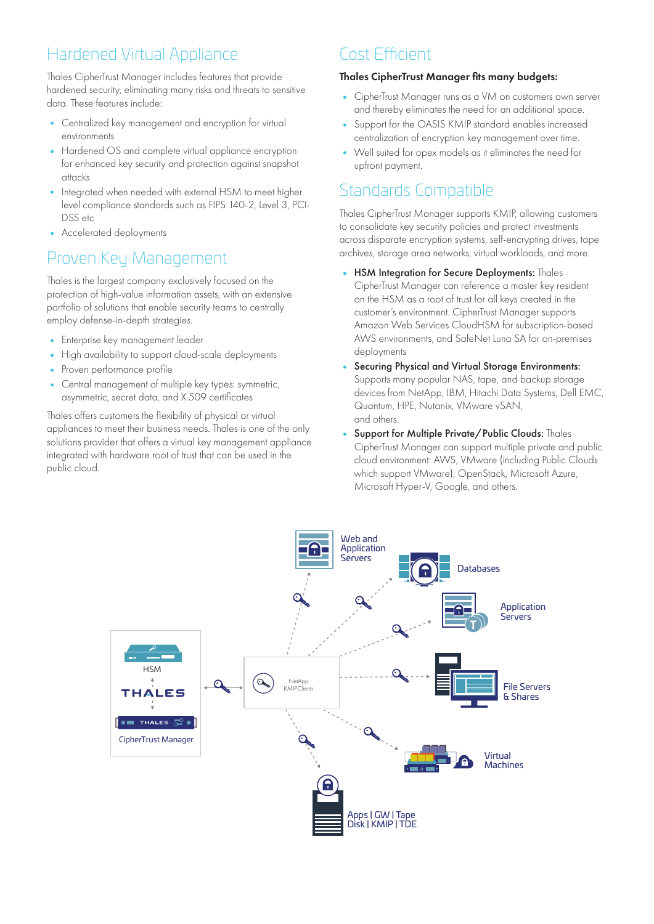# Hardened Virtual Appliance

Thales CipherTrust Manager includes features that provide hardened security, eliminating many risks and threats to sensitive data. These features include:

- Centralized key management and encryption for virtual environments
- Hardened OS and complete virtual appliance encryption for enhanced key security and protection against snapshot attacks
- Integrated when needed with external HSM to meet higher level compliance standards such as FIPS 140-2, Level 3, PCI-DSS etc
- Accelerated deployments

## Proven Key Management

Thales is the largest company exclusively focused on the protection of high-value information assets, with an extensive portfolio of solutions that enable security teams to centrally employ defense-in-depth strategies.

- Enterprise key management leader
- High availability to support cloud-scale deployments
- Proven performance profile
- Central management of multiple key types: symmetric, asymmetric, secret data, and X.509 certificates

Thales offers customers the flexibility of physical or virtual appliances to meet their business needs. Thales is one of the only solutions provider that offers a virtual key management appliance integrated with hardware root of trust that can be used in the public cloud.

### Cost Efficient

#### Thales CipherTrust Manager fits many budgets:

- CipherTrust Manager runs as a VM on customers own server and thereby eliminates the need for an additional space.
- Support for the OASIS KMIP standard enables increased centralization of encryption key management over time.
- Well suited for opex models as it eliminates the need for upfront payment.

# Standards Compatible

Thales CipherTrust Manager supports KMIP, allowing customers to consolidate key security policies and protect investments across disparate encryption systems, self-encrypting drives, tape archives, storage area networks, virtual workloads, and more.

- HSM Integration for Secure Deployments: Thales CipherTrust Manager can reference a master key resident on the HSM as a root of trust for all keys created in the customer's environment. CipherTrust Manager supports Amazon Web Services CloudHSM for subscription-based AWS environments, and SafeNet Luna SA for on-premises deployments
- Securing Physical and Virtual Storage Environments: Supports many popular NAS, tape, and backup storage devices from NetApp, IBM, Hitachi Data Systems, Dell EMC, Quantum, HPE, Nutanix, VMware vSAN, and others.
- Support for Multiple Private/Public Clouds: Thales CipherTrust Manager can support multiple private and public cloud environment: AWS, VMware (including Public Clouds which support VMware), OpenStack, Microsoft Azure, Microsoft Hyper-V, Google, and others.